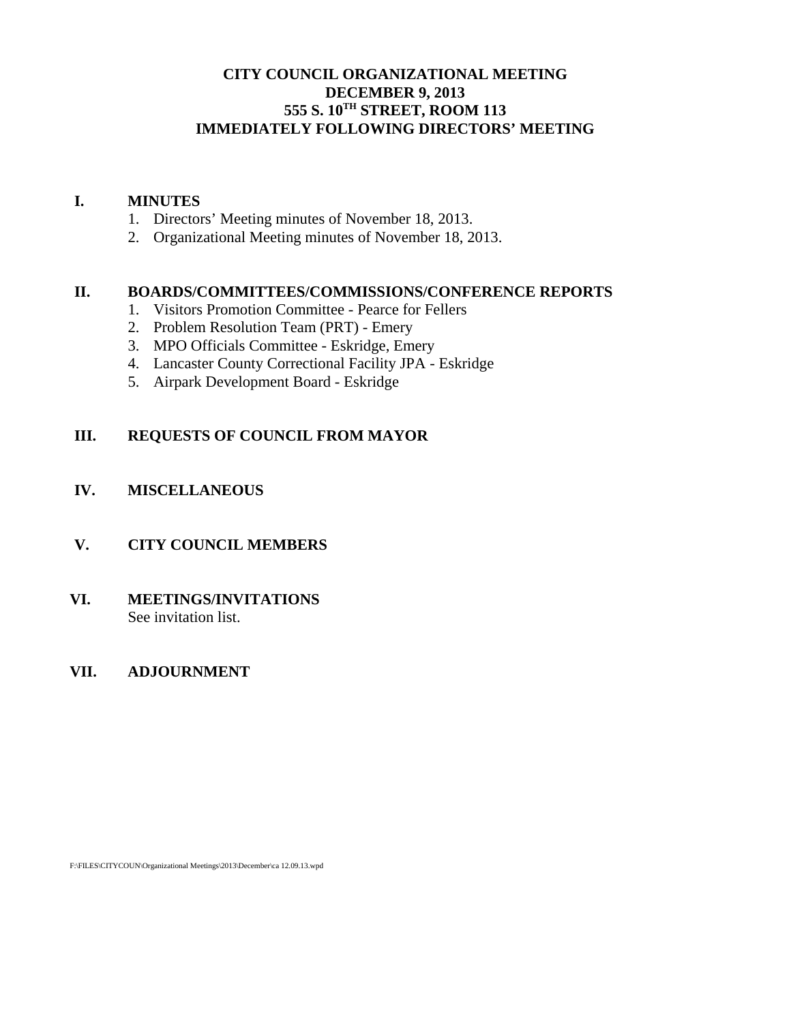# **CITY COUNCIL ORGANIZATIONAL MEETING DECEMBER 9, 2013 555 S. 10TH STREET, ROOM 113 IMMEDIATELY FOLLOWING DIRECTORS' MEETING**

## **I. MINUTES**

- 1. Directors' Meeting minutes of November 18, 2013.
- 2. Organizational Meeting minutes of November 18, 2013.

#### **II. BOARDS/COMMITTEES/COMMISSIONS/CONFERENCE REPORTS**

- 1. Visitors Promotion Committee Pearce for Fellers
- 2. Problem Resolution Team (PRT) Emery
- 3. MPO Officials Committee Eskridge, Emery
- 4. Lancaster County Correctional Facility JPA Eskridge
- 5. Airpark Development Board Eskridge

# **III. REQUESTS OF COUNCIL FROM MAYOR**

# **IV. MISCELLANEOUS**

### **V. CITY COUNCIL MEMBERS**

#### **VI. MEETINGS/INVITATIONS** See invitation list.

### **VII. ADJOURNMENT**

F:\FILES\CITYCOUN\Organizational Meetings\2013\December\ca 12.09.13.wpd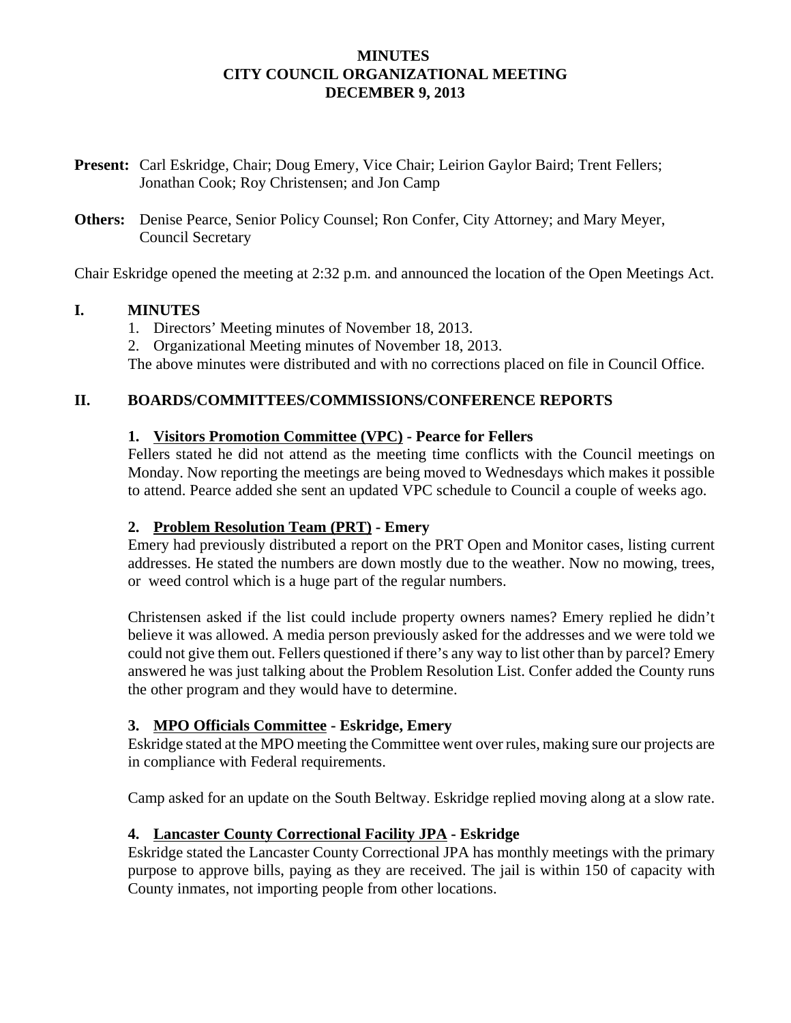## **MINUTES CITY COUNCIL ORGANIZATIONAL MEETING DECEMBER 9, 2013**

- **Present:** Carl Eskridge, Chair; Doug Emery, Vice Chair; Leirion Gaylor Baird; Trent Fellers; Jonathan Cook; Roy Christensen; and Jon Camp
- **Others:** Denise Pearce, Senior Policy Counsel; Ron Confer, City Attorney; and Mary Meyer, Council Secretary

Chair Eskridge opened the meeting at 2:32 p.m. and announced the location of the Open Meetings Act.

# **I. MINUTES**

- 1. Directors' Meeting minutes of November 18, 2013.
- 2. Organizational Meeting minutes of November 18, 2013.

The above minutes were distributed and with no corrections placed on file in Council Office.

# **II. BOARDS/COMMITTEES/COMMISSIONS/CONFERENCE REPORTS**

# **1. Visitors Promotion Committee (VPC) - Pearce for Fellers**

Fellers stated he did not attend as the meeting time conflicts with the Council meetings on Monday. Now reporting the meetings are being moved to Wednesdays which makes it possible to attend. Pearce added she sent an updated VPC schedule to Council a couple of weeks ago.

# **2. Problem Resolution Team (PRT) - Emery**

Emery had previously distributed a report on the PRT Open and Monitor cases, listing current addresses. He stated the numbers are down mostly due to the weather. Now no mowing, trees, or weed control which is a huge part of the regular numbers.

Christensen asked if the list could include property owners names? Emery replied he didn't believe it was allowed. A media person previously asked for the addresses and we were told we could not give them out. Fellers questioned if there's any way to list other than by parcel? Emery answered he was just talking about the Problem Resolution List. Confer added the County runs the other program and they would have to determine.

# **3. MPO Officials Committee - Eskridge, Emery**

Eskridge stated at the MPO meeting the Committee went over rules, making sure our projects are in compliance with Federal requirements.

Camp asked for an update on the South Beltway. Eskridge replied moving along at a slow rate.

# **4. Lancaster County Correctional Facility JPA - Eskridge**

Eskridge stated the Lancaster County Correctional JPA has monthly meetings with the primary purpose to approve bills, paying as they are received. The jail is within 150 of capacity with County inmates, not importing people from other locations.